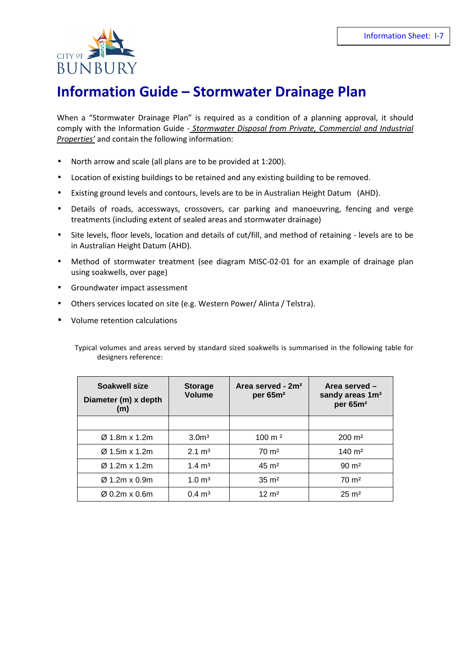

## **Information Guide – Stormwater Drainage Plan**

When a "Stormwater Drainage Plan" is required as a condition of a planning approval, it should comply with the Information Guide - *Stormwater Disposal from Private, Commercial and Industrial Properties'* and contain the following information:

- North arrow and scale (all plans are to be provided at 1:200).
- Location of existing buildings to be retained and any existing building to be removed.
- Existing ground levels and contours, levels are to be in Australian Height Datum (AHD).
- Details of roads, accessways, crossovers, car parking and manoeuvring, fencing and verge treatments (including extent of sealed areas and stormwater drainage)
- Site levels, floor levels, location and details of cut/fill, and method of retaining levels are to be in Australian Height Datum (AHD).
- Method of stormwater treatment (see diagram MISC-02-01 for an example of drainage plan using soakwells, over page)
- Groundwater impact assessment
- Others services located on site (e.g. Western Power/ Alinta / Telstra).
- Volume retention calculations

Typical volumes and areas served by standard sized soakwells is summarised in the following table for designers reference:

| Soakwell size<br>Diameter (m) x depth<br>(m) | <b>Storage</b><br>Volume | Area served - 2m <sup>2</sup><br>per 65m <sup>2</sup> | Area served -<br>sandy areas 1m <sup>3</sup><br>per 65m <sup>2</sup> |
|----------------------------------------------|--------------------------|-------------------------------------------------------|----------------------------------------------------------------------|
|                                              |                          |                                                       |                                                                      |
| $\varnothing$ 1.8m x 1.2m                    | 3.0 <sup>m3</sup>        | $100 \, \text{m}^2$                                   | $200 \text{ m}^2$                                                    |
| $\varnothing$ 1.5m x 1.2m                    | $2.1 \text{ m}^3$        | $70 \text{ m}^2$                                      | $140 \; \text{m}^2$                                                  |
| $\varnothing$ 1.2m x 1.2m                    | $1.4 \text{ m}^3$        | $45 \text{ m}^2$                                      | $90 \text{ m}^2$                                                     |
| $\varnothing$ 1.2m x 0.9m                    | $1.0 \text{ m}^3$        | $35 \text{ m}^2$                                      | $70 \text{ m}^2$                                                     |
| $\varnothing$ 0.2m x 0.6m                    | $0.4 \text{ m}^3$        | $12 \text{ m}^2$                                      | $25 \text{ m}^2$                                                     |